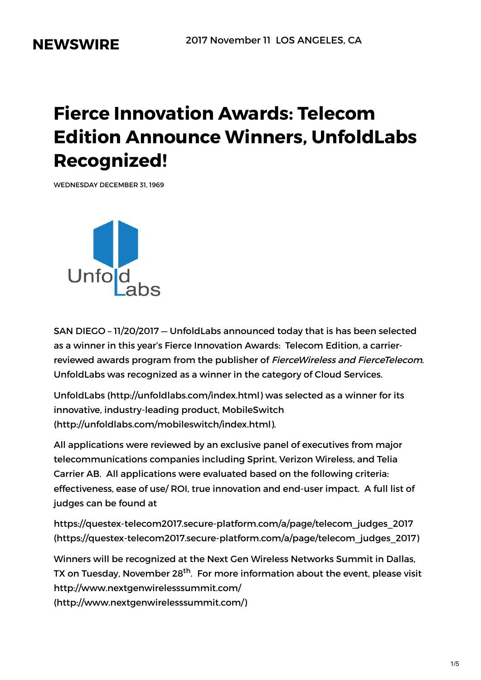# **NEWSWIRE**

# **Fierce Innovation Awards: Telecom Edition Announce Winners, UnfoldLabs Recognized!**

WEDNESDAY DECEMBER 31, 1969



SAN DIEGO – 11/20/2017 — UnfoldLabs announced today that is has been selected as a winner in this year's Fierce Innovation Awards: Telecom Edition, a carrierreviewed awards program from the publisher of FierceWireless and FierceTelecom. UnfoldLabs was recognized as a winner in the category of Cloud Services.

UnfoldLabs [\(http://unfoldlabs.com/index.html\)](http://unfoldlabs.com/index.html) was selected as a winner for its innovative, industry-leading product, MobileSwitch [\(http://unfoldlabs.com/mobileswitch/index.html\).](http://unfoldlabs.com/mobileswitch/index.html)

All applications were reviewed by an exclusive panel of executives from major telecommunications companies including Sprint, Verizon Wireless, and Telia Carrier AB. All applications were evaluated based on the following criteria: effectiveness, ease of use/ ROI, true innovation and end-user impact. A full list of judges can be found at

https://questex-telecom2017.secure-platform.com/a/page/telecom\_judges\_2017 [\(https://questex-telecom2017.secure-platform.com/a/page/telecom\\_judges\\_2017\)](https://questex-telecom2017.secure-platform.com/a/page/telecom_judges_2017)

Winners will be recognized at the Next Gen Wireless Networks Summit in Dallas, TX on Tuesday, November 28<sup>th</sup>. For more information about the event, please visit http://www.nextgenwirelesssummit.com/

[\(http://www.nextgenwirelesssummit.com/\)](http://www.nextgenwirelesssummit.com/)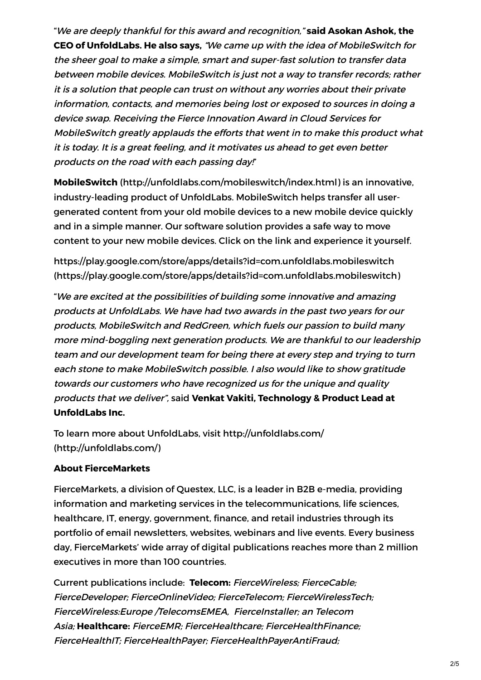"We are deeply thankful for this award and recognition," **said Asokan Ashok, the CEO of UnfoldLabs. He also says,** "We came up with the idea of MobileSwitch for the sheer goal to make <sup>a</sup> simple, smart and super-fast solution to transfer data between mobile devices. MobileSwitch is just not <sup>a</sup> way to transfer records; rather it is <sup>a</sup> solution that people can trust on without any worries about their private information, contacts, and memories being lost or exposed to sources in doing <sup>a</sup> device swap. Receiving the Fierce Innovation Award in Cloud Services for MobileSwitch greatly applauds the efforts that went in to make this product what it is today. It is <sup>a</sup> great feeling, and it motivates us ahead to get even better products on the road with each passing day!"

**MobileSwitch** [\(http://unfoldlabs.com/mobileswitch/index.html\)](http://unfoldlabs.com/mobileswitch/index.html) is an innovative, industry-leading product of UnfoldLabs. MobileSwitch helps transfer all usergenerated content from your old mobile devices to a new mobile device quickly and in a simple manner. Our software solution provides a safe way to move content to your new mobile devices. Click on the link and experience it yourself.

https://play.google.com/store/apps/details?id=com.unfoldlabs.mobileswitch [\(https://play.google.com/store/apps/details?id=com.unfoldlabs.mobileswitch\)](https://play.google.com/store/apps/details?id=com.unfoldlabs.mobileswitch)

"We are excited at the possibilities of building some innovative and amazing products at UnfoldLabs. We have had two awards in the past two years for our products, MobileSwitch and RedGreen, which fuels our passion to build many more mind-boggling next generation products. We are thankful to our leadership team and our development team for being there at every step and trying to turn each stone to make MobileSwitch possible. I also would like to show gratitude towards our customers who have recognized us for the unique and quality products that we deliver", said **Venkat Vakiti, Technology & Product Lead at UnfoldLabs Inc.**

To learn more about UnfoldLabs, visit http://unfoldlabs.com/ [\(http://unfoldlabs.com/\)](http://unfoldlabs.com/)

#### **About FierceMarkets**

FierceMarkets, a division of Questex, LLC, is a leader in B2B e-media, providing information and marketing services in the telecommunications, life sciences, healthcare, IT, energy, government, finance, and retail industries through its portfolio of email newsletters, websites, webinars and live events. Every business day, FierceMarkets' wide array of digital publications reaches more than 2 million executives in more than 100 countries.

Current publications include: **Telecom:** FierceWireless; FierceCable; FierceDeveloper; FierceOnlineVideo; FierceTelecom; FierceWirelessTech; FierceWireless:Europe /TelecomsEMEA, FierceInstaller; an Telecom Asia; **Healthcare:** FierceEMR; FierceHealthcare; FierceHealthFinance; FierceHealthIT; FierceHealthPayer; FierceHealthPayerAntiFraud;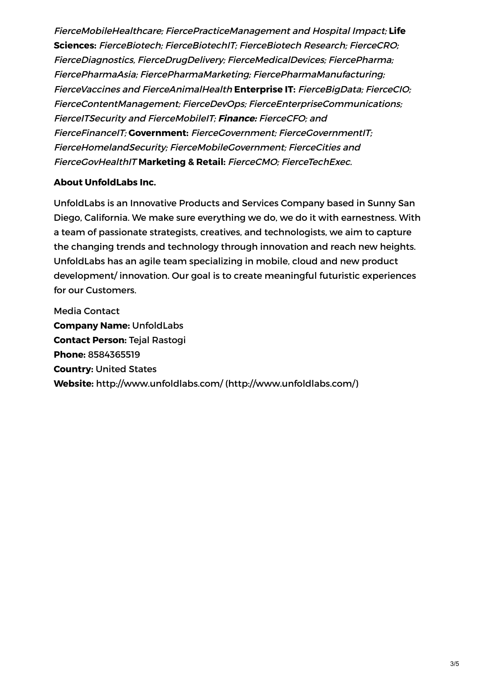FierceMobileHealthcare; FiercePracticeManagement and Hospital Impact; **Life Sciences:** FierceBiotech; FierceBiotechIT; FierceBiotech Research; FierceCRO; FierceDiagnostics, FierceDrugDelivery; FierceMedicalDevices; FiercePharma; FiercePharmaAsia; FiercePharmaMarketing; FiercePharmaManufacturing; FierceVaccines and FierceAnimalHealth **Enterprise IT:** FierceBigData; FierceCIO; FierceContentManagement; FierceDevOps; FierceEnterpriseCommunications; FierceITSecurity and FierceMobileIT; **Finance:** FierceCFO; and FierceFinanceIT; **Government:** FierceGovernment; FierceGovernmentIT; FierceHomelandSecurity; FierceMobileGovernment; FierceCities and FierceGovHealthIT **Marketing & Retail:** FierceCMO; FierceTechExec.

#### **About UnfoldLabs Inc.**

UnfoldLabs is an Innovative Products and Services Company based in Sunny San Diego, California. We make sure everything we do, we do it with earnestness. With a team of passionate strategists, creatives, and technologists, we aim to capture the changing trends and technology through innovation and reach new heights. UnfoldLabs has an agile team specializing in mobile, cloud and new product development/ innovation. Our goal is to create meaningful futuristic experiences for our Customers.

Media Contact **Company Name:** UnfoldLabs **Contact Person:** Tejal Rastogi **Phone:** 8584365519 **Country:** United States **Website:** http://www.unfoldlabs.com/ [\(http://www.unfoldlabs.com/\)](http://www.unfoldlabs.com/)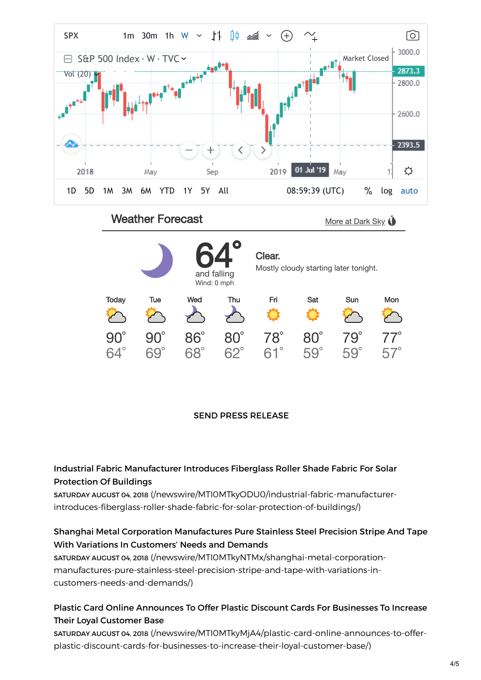

#### SEND PRESS RELEASE

#### Industrial Fabric Manufacturer Introduces Fiberglass Roller Shade Fabric For Solar Protection Of Buildings

SATURDAY AUGUST 04, 2018 (/newswire/MTI0MTkyODU0/industrial-fabric-manufacturer[introduces-fiberglass-roller-shade-fabric-for-solar-protection-of-buildings/\)](https://pressreleasejet.com/newswire/MTI0MTkyODU0/industrial-fabric-manufacturer-introduces-fiberglass-roller-shade-fabric-for-solar-protection-of-buildings/)

#### Shanghai Metal Corporation Manufactures Pure Stainless Steel Precision Stripe And Tape With Variations In Customers' Needs and Demands

SATURDAY AUGUST 04, 2018 (/newswire/MTI0MTkyNTMx/shanghai-metal-corporation[manufactures-pure-stainless-steel-precision-stripe-and-tape-with-variations-in](https://pressreleasejet.com/newswire/MTI0MTkyNTMx/shanghai-metal-corporation-manufactures-pure-stainless-steel-precision-stripe-and-tape-with-variations-in-customers-needs-and-demands/)customers-needs-and-demands/)

# Plastic Card Online Announces To Offer Plastic Discount Cards For Businesses To Increase Their Loyal Customer Base

SATURDAY AUGUST 04, 2018 (/newswire/MTI0MTkyMjA4/plastic-card-online-announces-to-offer[plastic-discount-cards-for-businesses-to-increase-their-loyal-customer-base/\)](https://pressreleasejet.com/newswire/MTI0MTkyMjA4/plastic-card-online-announces-to-offer-plastic-discount-cards-for-businesses-to-increase-their-loyal-customer-base/)